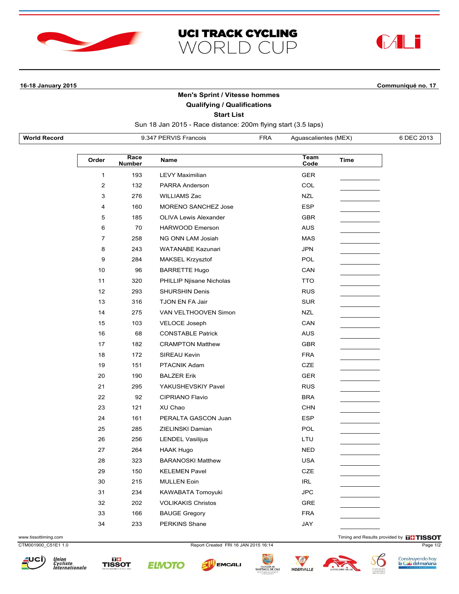



**16-18 January 2015 Communiqué no. 17**

## **Men's Sprint / Vitesse hommes**

**UCI TRACK CYCLING** 

WORLD CUP

**Qualifying / Qualifications**

**Start List**

Sun 18 Jan 2015 - Race distance: 200m flying start (3.5 laps)

| <b>World Record</b> | 9.347 PERVIS Francois | FRA | Aquascalientes (MEX) | 6 DEC 2013 |
|---------------------|-----------------------|-----|----------------------|------------|
|                     |                       |     |                      |            |

| Order          | Race<br><b>Number</b> | <b>Name</b>                  | Team<br>Code | Time |
|----------------|-----------------------|------------------------------|--------------|------|
| $\mathbf{1}$   | 193                   | <b>LEVY Maximilian</b>       | <b>GER</b>   |      |
| $\overline{2}$ | 132                   | <b>PARRA Anderson</b>        | COL          |      |
| 3              | 276                   | <b>WILLIAMS Zac</b>          | <b>NZL</b>   |      |
| 4              | 160                   | <b>MORENO SANCHEZ Jose</b>   | <b>ESP</b>   |      |
| 5              | 185                   | <b>OLIVA Lewis Alexander</b> | <b>GBR</b>   |      |
| 6              | 70                    | <b>HARWOOD Emerson</b>       | <b>AUS</b>   |      |
| $\overline{7}$ | 258                   | <b>NG ONN LAM Josiah</b>     | <b>MAS</b>   |      |
| 8              | 243                   | <b>WATANABE Kazunari</b>     | <b>JPN</b>   |      |
| 9              | 284                   | <b>MAKSEL Krzysztof</b>      | <b>POL</b>   |      |
| 10             | 96                    | <b>BARRETTE Hugo</b>         | CAN          |      |
| 11             | 320                   | PHILLIP Njisane Nicholas     | <b>TTO</b>   |      |
| 12             | 293                   | <b>SHURSHIN Denis</b>        | <b>RUS</b>   |      |
| 13             | 316                   | TJON EN FA Jair              | <b>SUR</b>   |      |
| 14             | 275                   | VAN VELTHOOVEN Simon         | <b>NZL</b>   |      |
| 15             | 103                   | <b>VELOCE Joseph</b>         | CAN          |      |
| 16             | 68                    | <b>CONSTABLE Patrick</b>     | <b>AUS</b>   |      |
| 17             | 182                   | <b>CRAMPTON Matthew</b>      | <b>GBR</b>   |      |
| 18             | 172                   | SIREAU Kevin                 | <b>FRA</b>   |      |
| 19             | 151                   | PTACNIK Adam                 | <b>CZE</b>   |      |
| 20             | 190                   | <b>BALZER Erik</b>           | <b>GER</b>   |      |
| 21             | 295                   | YAKUSHEVSKIY Pavel           | <b>RUS</b>   |      |
| 22             | 92                    | <b>CIPRIANO Flavio</b>       | <b>BRA</b>   |      |
| 23             | 121                   | XU Chao                      | <b>CHN</b>   |      |
| 24             | 161                   | PERALTA GASCON Juan          | <b>ESP</b>   |      |
| 25             | 285                   | ZIELINSKI Damian             | <b>POL</b>   |      |
| 26             | 256                   | <b>LENDEL Vasilijus</b>      | LTU          |      |
| 27             | 264                   | <b>HAAK Hugo</b>             | <b>NED</b>   |      |
| 28             | 323                   | <b>BARANOSKI Matthew</b>     | <b>USA</b>   |      |
| 29             | 150                   | <b>KELEMEN Pavel</b>         | <b>CZE</b>   |      |
| 30             | 215                   | <b>MULLEN Eoin</b>           | <b>IRL</b>   |      |
| 31             | 234                   | KAWABATA Tomoyuki            | <b>JPC</b>   |      |
| 32             | 202                   | <b>VOLIKAKIS Christos</b>    | <b>GRE</b>   |      |
| 33             | 166                   | <b>BAUGE Gregory</b>         | <b>FRA</b>   |      |
| 34             | 233                   | <b>PERKINS Shane</b>         | JAY          |      |

www.tissottiming.com **Timing and Results provided by FITISSOT** 

CTM001900\_C51E1 1.0 Report Created FRI 16 JAN 2015 16:14 Page 1/2



Union<br>Cycliste<br>Internationale











Construyendo hoy<br>l<mark>a Cali del mañana</mark>